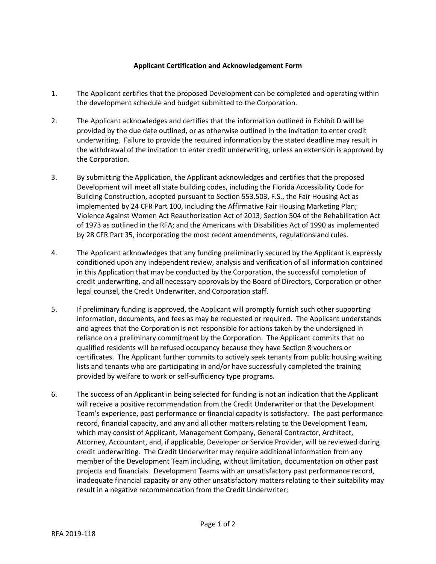## **Applicant Certification and Acknowledgement Form**

- 1. The Applicant certifies that the proposed Development can be completed and operating within the development schedule and budget submitted to the Corporation.
- 2. The Applicant acknowledges and certifies that the information outlined in Exhibit D will be provided by the due date outlined, or as otherwise outlined in the invitation to enter credit underwriting. Failure to provide the required information by the stated deadline may result in the withdrawal of the invitation to enter credit underwriting, unless an extension is approved by the Corporation.
- 3. By submitting the Application, the Applicant acknowledges and certifies that the proposed Development will meet all state building codes, including the Florida Accessibility Code for Building Construction, adopted pursuant to Section 553.503, F.S., the Fair Housing Act as implemented by 24 CFR Part 100, including the Affirmative Fair Housing Marketing Plan; Violence Against Women Act Reauthorization Act of 2013; Section 504 of the Rehabilitation Act of 1973 as outlined in the RFA; and the Americans with Disabilities Act of 1990 as implemented by 28 CFR Part 35, incorporating the most recent amendments, regulations and rules.
- 4. The Applicant acknowledges that any funding preliminarily secured by the Applicant is expressly conditioned upon any independent review, analysis and verification of all information contained in this Application that may be conducted by the Corporation, the successful completion of credit underwriting, and all necessary approvals by the Board of Directors, Corporation or other legal counsel, the Credit Underwriter, and Corporation staff.
- 5. If preliminary funding is approved, the Applicant will promptly furnish such other supporting information, documents, and fees as may be requested or required. The Applicant understands and agrees that the Corporation is not responsible for actions taken by the undersigned in reliance on a preliminary commitment by the Corporation. The Applicant commits that no qualified residents will be refused occupancy because they have Section 8 vouchers or certificates. The Applicant further commits to actively seek tenants from public housing waiting lists and tenants who are participating in and/or have successfully completed the training provided by welfare to work or self-sufficiency type programs.
- 6. The success of an Applicant in being selected for funding is not an indication that the Applicant will receive a positive recommendation from the Credit Underwriter or that the Development Team's experience, past performance or financial capacity is satisfactory. The past performance record, financial capacity, and any and all other matters relating to the Development Team, which may consist of Applicant, Management Company, General Contractor, Architect, Attorney, Accountant, and, if applicable, Developer or Service Provider, will be reviewed during credit underwriting. The Credit Underwriter may require additional information from any member of the Development Team including, without limitation, documentation on other past projects and financials. Development Teams with an unsatisfactory past performance record, inadequate financial capacity or any other unsatisfactory matters relating to their suitability may result in a negative recommendation from the Credit Underwriter;